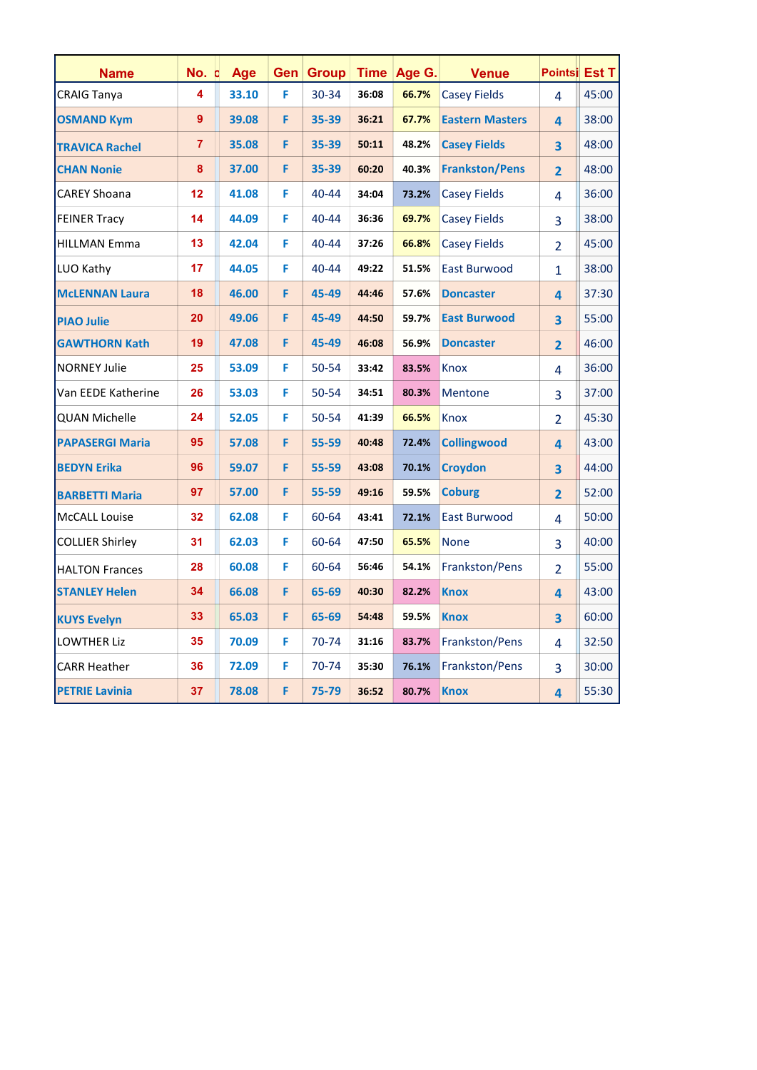| <b>Name</b>            | No. c          | Age   | Gen | <b>Group</b> |       | Time   Age G. | <b>Venue</b>           | Pointsi Est T  |       |
|------------------------|----------------|-------|-----|--------------|-------|---------------|------------------------|----------------|-------|
| <b>CRAIG Tanya</b>     | 4              | 33.10 | F   | $30 - 34$    | 36:08 | 66.7%         | <b>Casey Fields</b>    | 4              | 45:00 |
| <b>OSMAND Kym</b>      | 9              | 39.08 | F   | 35-39        | 36:21 | 67.7%         | <b>Eastern Masters</b> | 4              | 38:00 |
| <b>TRAVICA Rachel</b>  | $\overline{7}$ | 35.08 | F   | 35-39        | 50:11 | 48.2%         | <b>Casey Fields</b>    | 3              | 48:00 |
| <b>CHAN Nonie</b>      | 8              | 37.00 | F   | 35-39        | 60:20 | 40.3%         | <b>Frankston/Pens</b>  | $\overline{2}$ | 48:00 |
| <b>CAREY Shoana</b>    | 12             | 41.08 | F   | 40-44        | 34:04 | 73.2%         | <b>Casey Fields</b>    | 4              | 36:00 |
| <b>FEINER Tracy</b>    | 14             | 44.09 | F   | 40-44        | 36:36 | 69.7%         | <b>Casey Fields</b>    | 3              | 38:00 |
| <b>HILLMAN Emma</b>    | 13             | 42.04 | F   | 40-44        | 37:26 | 66.8%         | <b>Casey Fields</b>    | $\overline{2}$ | 45:00 |
| LUO Kathy              | 17             | 44.05 | F   | 40-44        | 49:22 | 51.5%         | <b>East Burwood</b>    | $\mathbf{1}$   | 38:00 |
| <b>McLENNAN Laura</b>  | 18             | 46.00 | F   | 45-49        | 44:46 | 57.6%         | <b>Doncaster</b>       | 4              | 37:30 |
| <b>PIAO Julie</b>      | 20             | 49.06 | F   | 45-49        | 44:50 | 59.7%         | <b>East Burwood</b>    | 3              | 55:00 |
| <b>GAWTHORN Kath</b>   | 19             | 47.08 | F   | 45-49        | 46:08 | 56.9%         | <b>Doncaster</b>       | $\overline{2}$ | 46:00 |
| <b>NORNEY Julie</b>    | 25             | 53.09 | F   | 50-54        | 33:42 | 83.5%         | Knox                   | 4              | 36:00 |
| Van EEDE Katherine     | 26             | 53.03 | F   | 50-54        | 34:51 | 80.3%         | <b>Mentone</b>         | 3              | 37:00 |
| <b>QUAN Michelle</b>   | 24             | 52.05 | F   | 50-54        | 41:39 | 66.5%         | Knox                   | $\overline{2}$ | 45:30 |
| <b>PAPASERGI Maria</b> | 95             | 57.08 | F   | 55-59        | 40:48 | 72.4%         | <b>Collingwood</b>     | 4              | 43:00 |
| <b>BEDYN Erika</b>     | 96             | 59.07 | F   | 55-59        | 43:08 | 70.1%         | <b>Croydon</b>         | 3              | 44:00 |
| <b>BARBETTI Maria</b>  | 97             | 57.00 | F   | 55-59        | 49:16 | 59.5%         | <b>Coburg</b>          | $\overline{2}$ | 52:00 |
| McCALL Louise          | 32             | 62.08 | F   | 60-64        | 43:41 | 72.1%         | <b>East Burwood</b>    | 4              | 50:00 |
| <b>COLLIER Shirley</b> | 31             | 62.03 | F   | 60-64        | 47:50 | 65.5%         | <b>None</b>            | 3              | 40:00 |
| <b>HALTON Frances</b>  | 28             | 60.08 | F   | 60-64        | 56:46 | 54.1%         | Frankston/Pens         | $\overline{2}$ | 55:00 |
| <b>STANLEY Helen</b>   | 34             | 66.08 | F   | 65-69        | 40:30 | 82.2%         | <b>Knox</b>            | 4              | 43:00 |
| <b>KUYS Evelyn</b>     | 33             | 65.03 | F   | 65-69        | 54:48 | 59.5%         | <b>Knox</b>            | 3              | 60:00 |
| <b>LOWTHER Liz</b>     | 35             | 70.09 | F   | 70-74        | 31:16 | 83.7%         | Frankston/Pens         | 4              | 32:50 |
| <b>CARR Heather</b>    | 36             | 72.09 | F   | 70-74        | 35:30 | 76.1%         | Frankston/Pens         | 3              | 30:00 |
| <b>PETRIE Lavinia</b>  | 37             | 78.08 | F   | 75-79        | 36:52 | 80.7%         | <b>Knox</b>            | 4              | 55:30 |